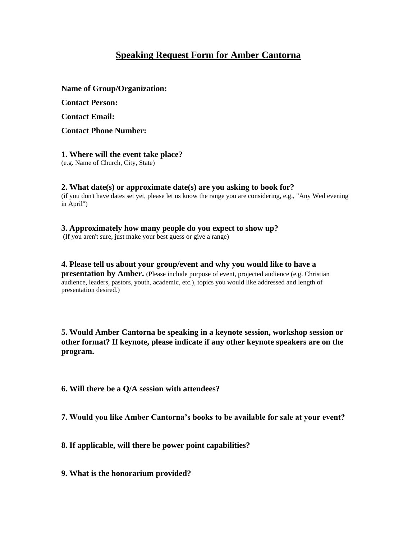# **Speaking Request Form for Amber Cantorna**

#### **Name of Group/Organization:**

**Contact Person:**

**Contact Email:**

**Contact Phone Number:**

### **1. Where will the event take place?**

(e.g. Name of Church, City, State)

## **2. What date(s) or approximate date(s) are you asking to book for?**

(if you don't have dates set yet, please let us know the range you are considering, e.g., "Any Wed evening in April")

#### **3. Approximately how many people do you expect to show up?**

(If you aren't sure, just make your best guess or give a range)

**4. Please tell us about your group/event and why you would like to have a presentation by Amber.** (Please include purpose of event, projected audience (e.g. Christian audience, leaders, pastors, youth, academic, etc.), topics you would like addressed and length of presentation desired.)

**5. Would Amber Cantorna be speaking in a keynote session, workshop session or other format? If keynote, please indicate if any other keynote speakers are on the program.**

**6. Will there be a Q/A session with attendees?**

**7. Would you like Amber Cantorna's books to be available for sale at your event?**

**8. If applicable, will there be power point capabilities?**

**9. What is the honorarium provided?**